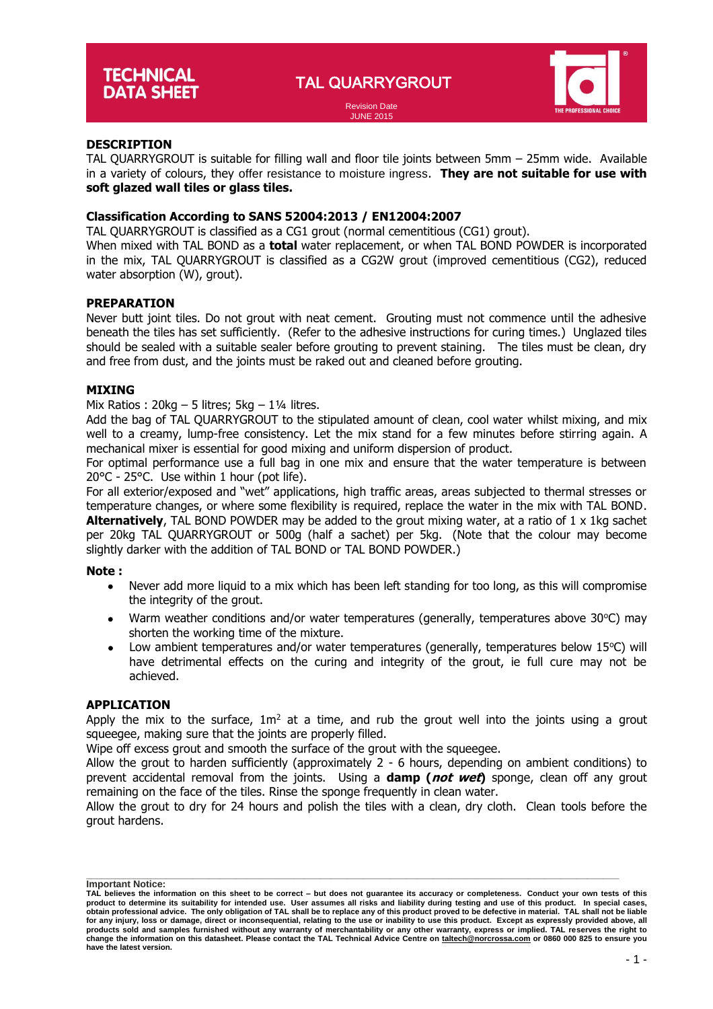TAL QUARRYGROUT



#### Revision Date JUNE 2015

# **DESCRIPTION**

TAL QUARRYGROUT is suitable for filling wall and floor tile joints between 5mm – 25mm wide. Available in a variety of colours, they offer resistance to moisture ingress. **They are not suitable for use with soft glazed wall tiles or glass tiles.**

# **Classification According to SANS 52004:2013 / EN12004:2007**

TAL QUARRYGROUT is classified as a CG1 grout (normal cementitious (CG1) grout).

When mixed with TAL BOND as a **total** water replacement, or when TAL BOND POWDER is incorporated in the mix, TAL QUARRYGROUT is classified as a CG2W grout (improved cementitious (CG2), reduced water absorption (W), grout).

## **PREPARATION**

Never butt joint tiles. Do not grout with neat cement. Grouting must not commence until the adhesive beneath the tiles has set sufficiently. (Refer to the adhesive instructions for curing times.) Unglazed tiles should be sealed with a suitable sealer before grouting to prevent staining. The tiles must be clean, dry and free from dust, and the joints must be raked out and cleaned before grouting.

## **MIXING**

Mix Ratios :  $20kg - 5$  litres;  $5kg - 1\frac{1}{4}$  litres.

Add the bag of TAL QUARRYGROUT to the stipulated amount of clean, cool water whilst mixing, and mix well to a creamy, lump-free consistency. Let the mix stand for a few minutes before stirring again. A mechanical mixer is essential for good mixing and uniform dispersion of product.

For optimal performance use a full bag in one mix and ensure that the water temperature is between 20°C - 25°C. Use within 1 hour (pot life).

For all exterior/exposed and "wet" applications, high traffic areas, areas subjected to thermal stresses or temperature changes, or where some flexibility is required, replace the water in the mix with TAL BOND. **Alternatively**, TAL BOND POWDER may be added to the grout mixing water, at a ratio of 1 x 1kg sachet per 20kg TAL QUARRYGROUT or 500g (half a sachet) per 5kg. (Note that the colour may become slightly darker with the addition of TAL BOND or TAL BOND POWDER.)

#### **Note :**

- Never add more liquid to a mix which has been left standing for too long, as this will compromise the integrity of the grout.
- Warm weather conditions and/or water temperatures (generally, temperatures above  $30^{\circ}$ C) may shorten the working time of the mixture.
- Low ambient temperatures and/or water temperatures (generally, temperatures below 15°C) will have detrimental effects on the curing and integrity of the grout, ie full cure may not be achieved.

#### **APPLICATION**

Apply the mix to the surface,  $1m<sup>2</sup>$  at a time, and rub the grout well into the joints using a grout squeegee, making sure that the joints are properly filled.

Wipe off excess grout and smooth the surface of the grout with the squeegee.

Allow the grout to harden sufficiently (approximately 2 - 6 hours, depending on ambient conditions) to prevent accidental removal from the joints. Using a **damp (not wet)** sponge, clean off any grout remaining on the face of the tiles. Rinse the sponge frequently in clean water.

Allow the grout to dry for 24 hours and polish the tiles with a clean, dry cloth. Clean tools before the grout hardens.

**\_\_\_\_\_\_\_\_\_\_\_\_\_\_\_\_\_\_\_\_\_\_\_\_\_\_\_\_\_\_\_\_\_\_\_\_\_\_\_\_\_\_\_\_\_\_\_\_\_\_\_\_\_\_\_\_\_\_\_\_\_\_\_\_\_\_\_\_\_\_\_\_\_\_\_\_\_\_\_\_\_\_\_\_\_\_\_\_\_\_\_\_\_\_\_\_\_\_\_\_ Important Notice:**

**TAL believes the information on this sheet to be correct – but does not guarantee its accuracy or completeness. Conduct your own tests of this**  product to determine its suitability for intended use. User assumes all risks and liability during testing and use of this product. In special cases,<br>obtain professional advice. The only obligation of TAL shall be to rep **for any injury, loss or damage, direct or inconsequential, relating to the use or inability to use this product. Except as expressly provided above, all**  products sold and samples furnished without any warranty of merchantability or any other warranty, express or implied. TAL reserves the right to<br>change the information on this datasheet. Please contact the TAL Technical Ad **have the latest version.**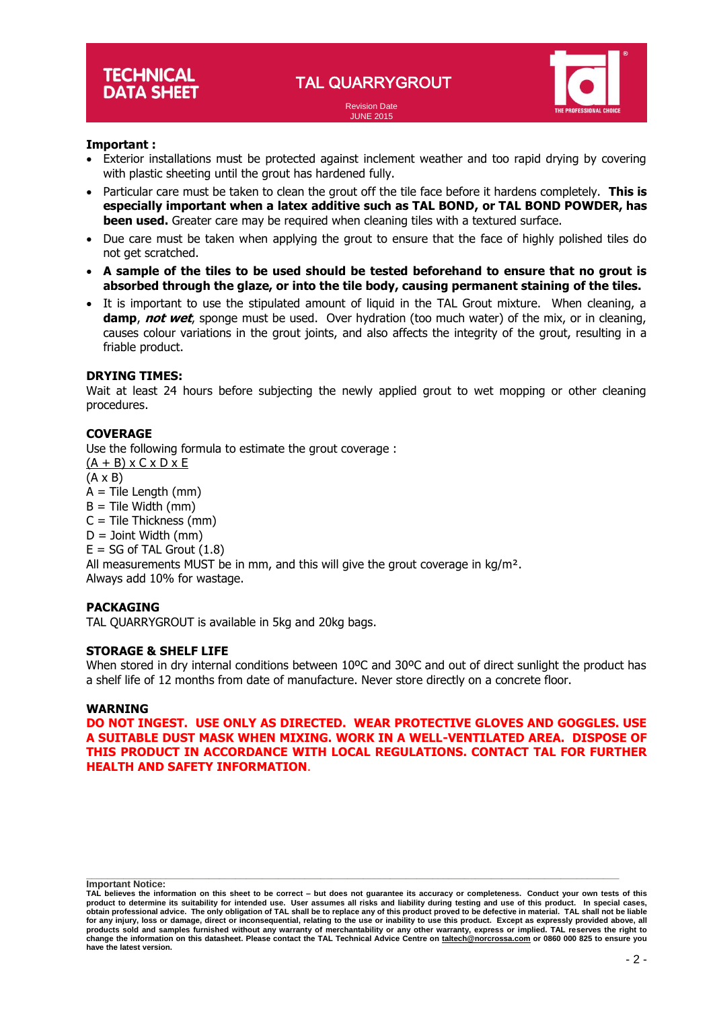JUNE 2015



# **Important :**

- Exterior installations must be protected against inclement weather and too rapid drying by covering with plastic sheeting until the grout has hardened fully.
- Particular care must be taken to clean the grout off the tile face before it hardens completely. **This is especially important when a latex additive such as TAL BOND, or TAL BOND POWDER, has been used.** Greater care may be required when cleaning tiles with a textured surface.
- Due care must be taken when applying the grout to ensure that the face of highly polished tiles do not get scratched.
- **A sample of the tiles to be used should be tested beforehand to ensure that no grout is absorbed through the glaze, or into the tile body, causing permanent staining of the tiles.**
- It is important to use the stipulated amount of liquid in the TAL Grout mixture. When cleaning, a **damp**, **not wet**, sponge must be used. Over hydration (too much water) of the mix, or in cleaning, causes colour variations in the grout joints, and also affects the integrity of the grout, resulting in a friable product.

## **DRYING TIMES:**

Wait at least 24 hours before subjecting the newly applied grout to wet mopping or other cleaning procedures.

# **COVERAGE**

Use the following formula to estimate the grout coverage :  $(A + B)$  x C x D x E (A x B)  $A =$  Tile Length (mm)  $B =$  Tile Width (mm)  $C =$  Tile Thickness (mm)  $D =$  Joint Width (mm)  $E = SG$  of TAL Grout  $(1.8)$ All measurements MUST be in mm, and this will give the grout coverage in  $kg/m<sup>2</sup>$ . Always add 10% for wastage.

#### **PACKAGING**

TAL QUARRYGROUT is available in 5kg and 20kg bags.

# **STORAGE & SHELF LIFE**

When stored in dry internal conditions between 10°C and 30°C and out of direct sunlight the product has a shelf life of 12 months from date of manufacture. Never store directly on a concrete floor.

#### **WARNING**

**DO NOT INGEST. USE ONLY AS DIRECTED. WEAR PROTECTIVE GLOVES AND GOGGLES. USE A SUITABLE DUST MASK WHEN MIXING. WORK IN A WELL-VENTILATED AREA. DISPOSE OF THIS PRODUCT IN ACCORDANCE WITH LOCAL REGULATIONS. CONTACT TAL FOR FURTHER HEALTH AND SAFETY INFORMATION**.

**\_\_\_\_\_\_\_\_\_\_\_\_\_\_\_\_\_\_\_\_\_\_\_\_\_\_\_\_\_\_\_\_\_\_\_\_\_\_\_\_\_\_\_\_\_\_\_\_\_\_\_\_\_\_\_\_\_\_\_\_\_\_\_\_\_\_\_\_\_\_\_\_\_\_\_\_\_\_\_\_\_\_\_\_\_\_\_\_\_\_\_\_\_\_\_\_\_\_\_\_ Important Notice:**

**TAL believes the information on this sheet to be correct – but does not guarantee its accuracy or completeness. Conduct your own tests of this**  product to determine its suitability for intended use. User assumes all risks and liability during testing and use of this product. In special cases,<br>obtain professional advice. The only obligation of TAL shall be to rep **for any injury, loss or damage, direct or inconsequential, relating to the use or inability to use this product. Except as expressly provided above, all**  products sold and samples furnished without any warranty of merchantability or any other warranty, express or implied. TAL reserves the right to<br>change the information on this datasheet. Please contact the TAL Technical Ad **have the latest version.**